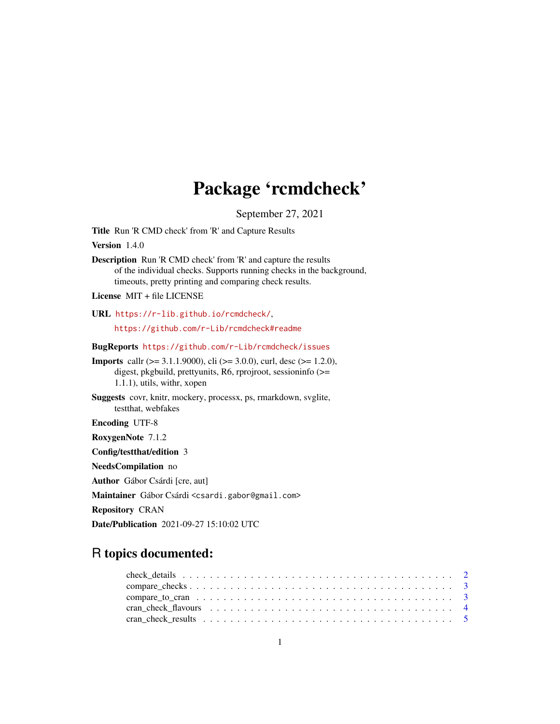# Package 'rcmdcheck'

September 27, 2021

<span id="page-0-0"></span>Title Run 'R CMD check' from 'R' and Capture Results

Version 1.4.0

Description Run 'R CMD check' from 'R' and capture the results of the individual checks. Supports running checks in the background, timeouts, pretty printing and comparing check results.

License MIT + file LICENSE

URL <https://r-lib.github.io/rcmdcheck/>,

<https://github.com/r-Lib/rcmdcheck#readme>

BugReports <https://github.com/r-Lib/rcmdcheck/issues>

Imports callr (>= 3.1.1.9000), cli (>= 3.0.0), curl, desc (>= 1.2.0), digest, pkgbuild, prettyunits, R6, rprojroot, sessioninfo (>= 1.1.1), utils, withr, xopen

Suggests covr, knitr, mockery, processx, ps, rmarkdown, svglite, testthat, webfakes

Encoding UTF-8

RoxygenNote 7.1.2

Config/testthat/edition 3

NeedsCompilation no

Author Gábor Csárdi [cre, aut]

Maintainer Gábor Csárdi <csardi.gabor@gmail.com>

Repository CRAN

Date/Publication 2021-09-27 15:10:02 UTC

## R topics documented: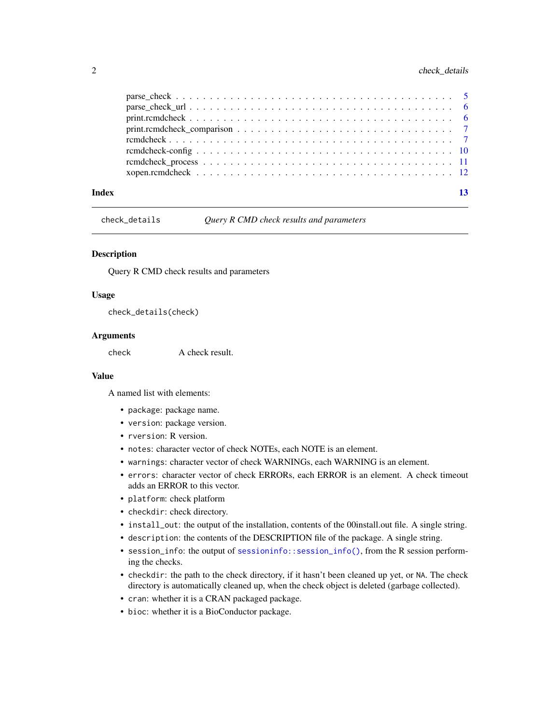#### <span id="page-1-0"></span>2 check\_details

| Index | 13 |
|-------|----|

check\_details *Query R CMD check results and parameters*

#### Description

Query R CMD check results and parameters

#### Usage

check\_details(check)

#### Arguments

check **A** check result.

#### Value

A named list with elements:

- package: package name.
- version: package version.
- rversion: R version.
- notes: character vector of check NOTEs, each NOTE is an element.
- warnings: character vector of check WARNINGs, each WARNING is an element.
- errors: character vector of check ERRORs, each ERROR is an element. A check timeout adds an ERROR to this vector.
- platform: check platform
- checkdir: check directory.
- install\_out: the output of the installation, contents of the 00install.out file. A single string.
- description: the contents of the DESCRIPTION file of the package. A single string.
- session\_info: the output of [sessioninfo::session\\_info\(\)](#page-0-0), from the R session performing the checks.
- checkdir: the path to the check directory, if it hasn't been cleaned up yet, or NA. The check directory is automatically cleaned up, when the check object is deleted (garbage collected).
- cran: whether it is a CRAN packaged package.
- bioc: whether it is a BioConductor package.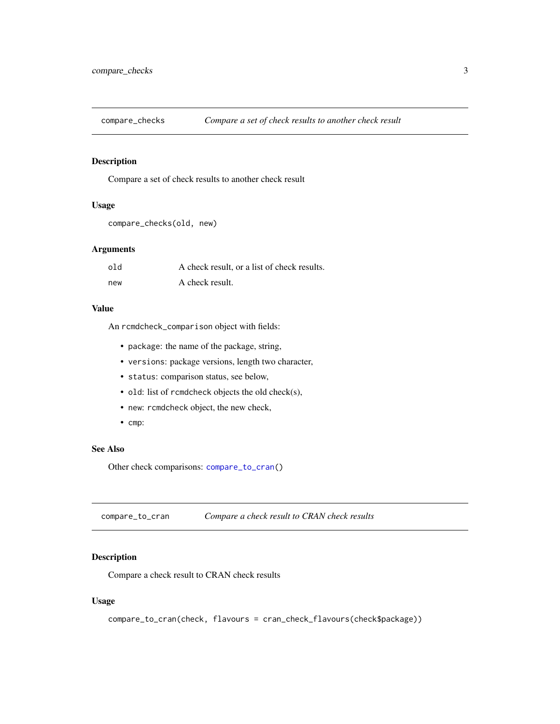<span id="page-2-2"></span><span id="page-2-0"></span>

#### Description

Compare a set of check results to another check result

#### Usage

```
compare_checks(old, new)
```
#### Arguments

| old | A check result, or a list of check results. |
|-----|---------------------------------------------|
| new | A check result.                             |

#### Value

An rcmdcheck\_comparison object with fields:

- package: the name of the package, string,
- versions: package versions, length two character,
- status: comparison status, see below,
- old: list of rcmdcheck objects the old check(s),
- new: rcmdcheck object, the new check,
- cmp:

#### See Also

Other check comparisons: [compare\\_to\\_cran\(](#page-2-1))

<span id="page-2-1"></span>compare\_to\_cran *Compare a check result to CRAN check results*

#### Description

Compare a check result to CRAN check results

#### Usage

compare\_to\_cran(check, flavours = cran\_check\_flavours(check\$package))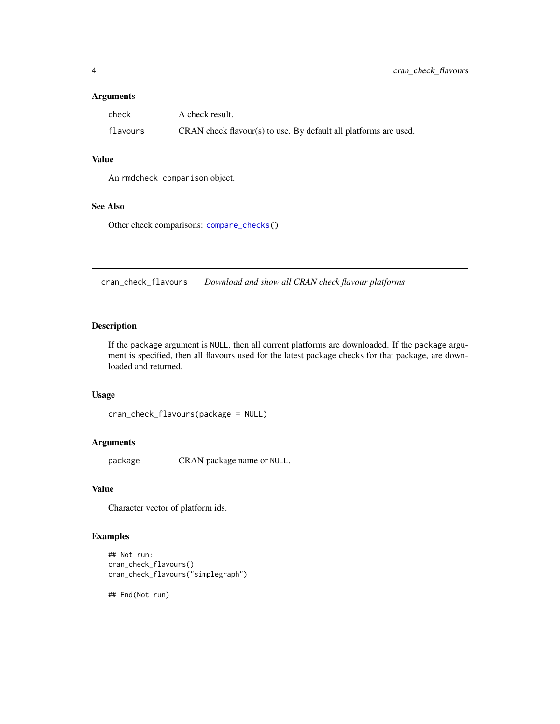#### <span id="page-3-0"></span>Arguments

| check    | A check result.                                                  |
|----------|------------------------------------------------------------------|
| flavours | CRAN check flavour(s) to use. By default all platforms are used. |

#### Value

An rmdcheck\_comparison object.

#### See Also

Other check comparisons: [compare\\_checks\(](#page-2-2))

cran\_check\_flavours *Download and show all CRAN check flavour platforms*

#### Description

If the package argument is NULL, then all current platforms are downloaded. If the package argument is specified, then all flavours used for the latest package checks for that package, are downloaded and returned.

#### Usage

```
cran_check_flavours(package = NULL)
```
#### Arguments

package CRAN package name or NULL.

#### Value

Character vector of platform ids.

#### Examples

```
## Not run:
cran_check_flavours()
cran_check_flavours("simplegraph")
```
## End(Not run)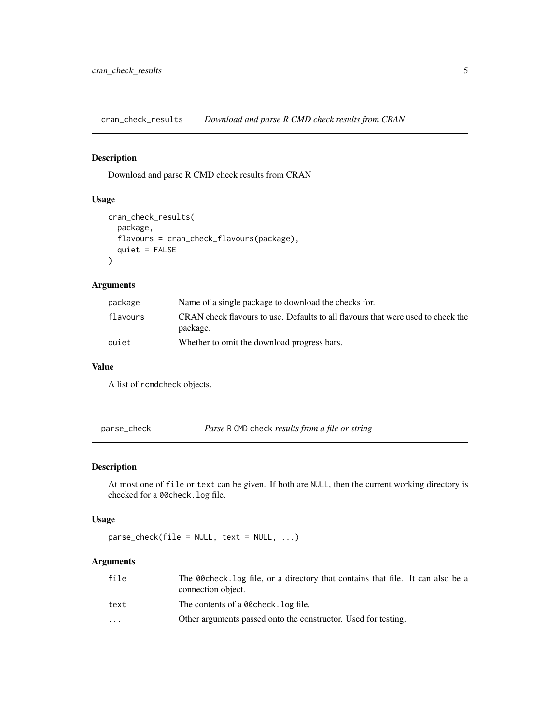<span id="page-4-0"></span>cran\_check\_results *Download and parse R CMD check results from CRAN*

#### Description

Download and parse R CMD check results from CRAN

#### Usage

```
cran_check_results(
  package,
  flavours = cran_check_flavours(package),
  quiet = FALSE
)
```
#### Arguments

| package  | Name of a single package to download the checks for.                                         |
|----------|----------------------------------------------------------------------------------------------|
| flavours | CRAN check flavours to use. Defaults to all flavours that were used to check the<br>package. |
| quiet    | Whether to omit the download progress bars.                                                  |

#### Value

A list of rcmdcheck objects.

<span id="page-4-1"></span>parse\_check *Parse* R CMD check *results from a file or string*

#### Description

At most one of file or text can be given. If both are NULL, then the current working directory is checked for a 00check.log file.

#### Usage

 $parse\_check(file = NULL, text = NULL, ...)$ 

#### Arguments

| file                    | The 00 check, log file, or a directory that contains that file. It can also be a<br>connection object. |
|-------------------------|--------------------------------------------------------------------------------------------------------|
| text                    | The contents of a 00 check. Log file.                                                                  |
| $\cdot$ $\cdot$ $\cdot$ | Other arguments passed onto the constructor. Used for testing.                                         |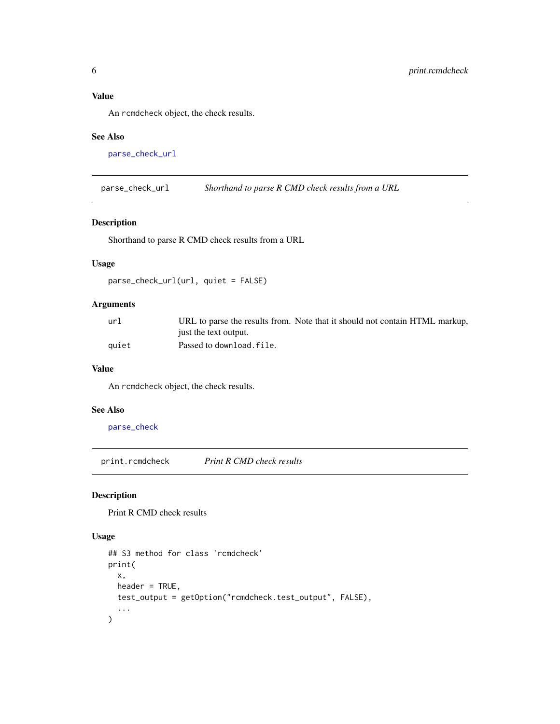<span id="page-5-0"></span>An rcmdcheck object, the check results.

#### See Also

[parse\\_check\\_url](#page-5-1)

<span id="page-5-1"></span>parse\_check\_url *Shorthand to parse R CMD check results from a URL*

#### Description

Shorthand to parse R CMD check results from a URL

#### Usage

parse\_check\_url(url, quiet = FALSE)

#### Arguments

| ur]   | URL to parse the results from. Note that it should not contain HTML markup, |
|-------|-----------------------------------------------------------------------------|
|       | just the text output.                                                       |
| auiet | Passed to download.file.                                                    |

#### Value

An rcmdcheck object, the check results.

#### See Also

[parse\\_check](#page-4-1)

<span id="page-5-2"></span>print.rcmdcheck *Print R CMD check results*

#### Description

Print R CMD check results

#### Usage

```
## S3 method for class 'rcmdcheck'
print(
 x,
 header = TRUE,
 test_output = getOption("rcmdcheck.test_output", FALSE),
  ...
)
```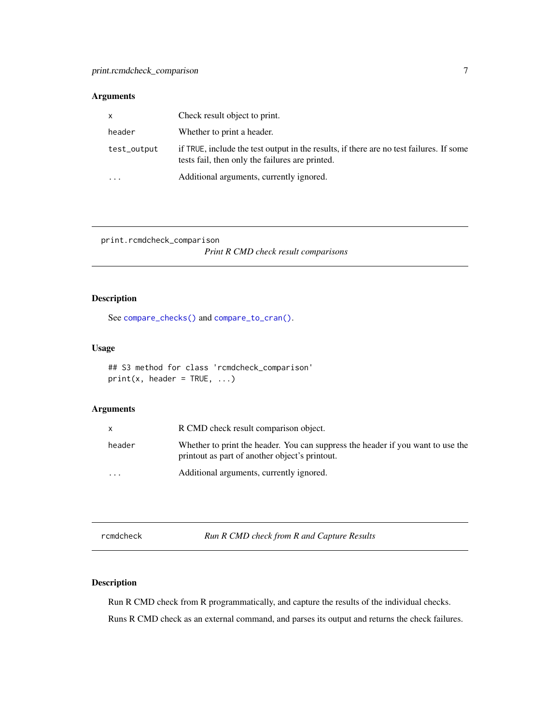#### <span id="page-6-0"></span>Arguments

| $\mathsf{X}$ | Check result object to print.                                                                                                              |
|--------------|--------------------------------------------------------------------------------------------------------------------------------------------|
| header       | Whether to print a header.                                                                                                                 |
| test_output  | if TRUE, include the test output in the results, if there are no test failures. If some<br>tests fail, then only the failures are printed. |
| .            | Additional arguments, currently ignored.                                                                                                   |

print.rcmdcheck\_comparison

*Print R CMD check result comparisons*

#### Description

See [compare\\_checks\(\)](#page-2-2) and [compare\\_to\\_cran\(\)](#page-2-1).

#### Usage

```
## S3 method for class 'rcmdcheck_comparison'
print(x, header = TRUE, ...)
```
#### Arguments

|           | R CMD check result comparison object.                                                                                             |
|-----------|-----------------------------------------------------------------------------------------------------------------------------------|
| header    | Whether to print the header. You can suppress the header if you want to use the<br>printout as part of another object's printout. |
| $\ddotsc$ | Additional arguments, currently ignored.                                                                                          |

<span id="page-6-1"></span>rcmdcheck *Run R CMD check from R and Capture Results*

#### Description

Run R CMD check from R programmatically, and capture the results of the individual checks. Runs R CMD check as an external command, and parses its output and returns the check failures.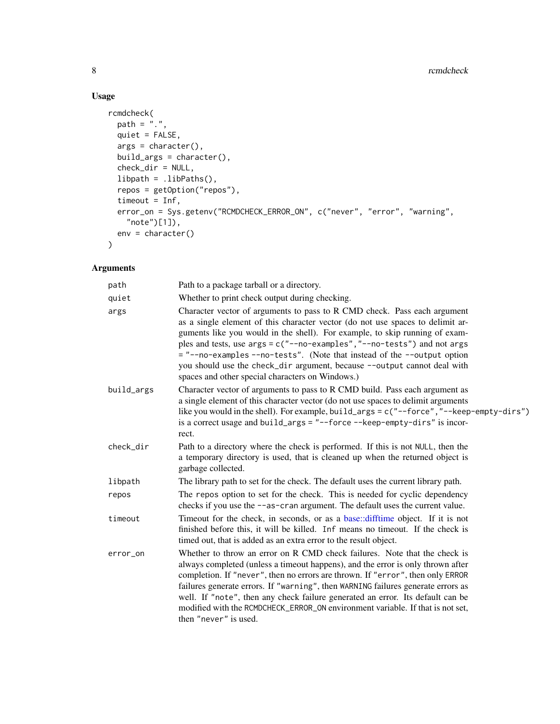### Usage

```
rcmdcheck(
  path = "."quiet = FALSE,
 args = character(),build_args = character(),
 check_dir = NULL,
 libpath = .libPaths(),
  repos = getOption("repos"),
 timeout = Inf,
 error_on = Sys.getenv("RCMDCHECK_ERROR_ON", c("never", "error", "warning",
   "note")[1]),
 env = character()
\mathcal{L}
```
#### Arguments

| path       | Path to a package tarball or a directory.                                                                                                                                                                                                                                                                                                                                                                                                                                                                                        |
|------------|----------------------------------------------------------------------------------------------------------------------------------------------------------------------------------------------------------------------------------------------------------------------------------------------------------------------------------------------------------------------------------------------------------------------------------------------------------------------------------------------------------------------------------|
| quiet      | Whether to print check output during checking.                                                                                                                                                                                                                                                                                                                                                                                                                                                                                   |
| args       | Character vector of arguments to pass to R CMD check. Pass each argument<br>as a single element of this character vector (do not use spaces to delimit ar-<br>guments like you would in the shell). For example, to skip running of exam-<br>ples and tests, use args = c("--no-examples", "--no-tests") and not args<br>= "--no-examples --no-tests". (Note that instead of the --output option<br>you should use the check_dir argument, because --output cannot deal with<br>spaces and other special characters on Windows.) |
| build_args | Character vector of arguments to pass to R CMD build. Pass each argument as<br>a single element of this character vector (do not use spaces to delimit arguments<br>like you would in the shell). For example, build_args = $c$ ("--force", "--keep-empty-dirs")<br>is a correct usage and build_args = "--force --keep-empty-dirs" is incor-<br>rect.                                                                                                                                                                           |
| check_dir  | Path to a directory where the check is performed. If this is not NULL, then the<br>a temporary directory is used, that is cleaned up when the returned object is<br>garbage collected.                                                                                                                                                                                                                                                                                                                                           |
| libpath    | The library path to set for the check. The default uses the current library path.                                                                                                                                                                                                                                                                                                                                                                                                                                                |
| repos      | The repos option to set for the check. This is needed for cyclic dependency<br>checks if you use the --as-cran argument. The default uses the current value.                                                                                                                                                                                                                                                                                                                                                                     |
| timeout    | Timeout for the check, in seconds, or as a base::difftime object. If it is not<br>finished before this, it will be killed. Inf means no timeout. If the check is<br>timed out, that is added as an extra error to the result object.                                                                                                                                                                                                                                                                                             |
| error_on   | Whether to throw an error on R CMD check failures. Note that the check is<br>always completed (unless a timeout happens), and the error is only thrown after<br>completion. If "never", then no errors are thrown. If "error", then only ERROR<br>failures generate errors. If "warning", then WARNING failures generate errors as<br>well. If "note", then any check failure generated an error. Its default can be<br>modified with the RCMDCHECK_ERROR_ON environment variable. If that is not set,<br>then "never" is used.  |

<span id="page-7-0"></span>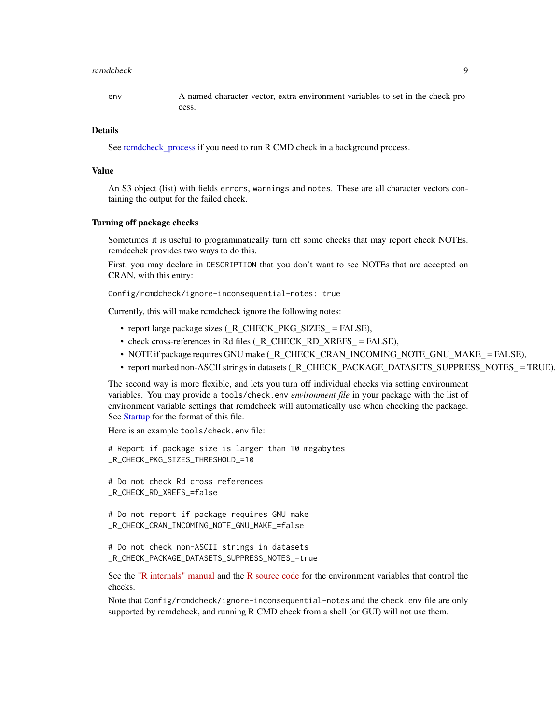#### <span id="page-8-0"></span>rcmdcheck 99

env A named character vector, extra environment variables to set in the check process.

#### Details

See [rcmdcheck\\_process](#page-10-1) if you need to run R CMD check in a background process.

#### Value

An S3 object (list) with fields errors, warnings and notes. These are all character vectors containing the output for the failed check.

#### Turning off package checks

Sometimes it is useful to programmatically turn off some checks that may report check NOTEs. rcmdcehck provides two ways to do this.

First, you may declare in DESCRIPTION that you don't want to see NOTEs that are accepted on CRAN, with this entry:

Config/rcmdcheck/ignore-inconsequential-notes: true

Currently, this will make rcmdcheck ignore the following notes:

- report large package sizes ( R\_CHECK\_PKG\_SIZES = FALSE),
- check cross-references in Rd files (\_R\_CHECK\_RD\_XREFS\_ = FALSE),
- NOTE if package requires GNU make (\_R\_CHECK\_CRAN\_INCOMING\_NOTE\_GNU\_MAKE\_ = FALSE),
- report marked non-ASCII strings in datasets (\_R\_CHECK\_PACKAGE\_DATASETS\_SUPPRESS\_NOTES\_ = TRUE).

The second way is more flexible, and lets you turn off individual checks via setting environment variables. You may provide a tools/check.env *environment file* in your package with the list of environment variable settings that rcmdcheck will automatically use when checking the package. See [Startup](#page-0-0) for the format of this file.

Here is an example tools/check.env file:

```
# Report if package size is larger than 10 megabytes
_R_CHECK_PKG_SIZES_THRESHOLD_=10
# Do not check Rd cross references
_R_CHECK_RD_XREFS_=false
# Do not report if package requires GNU make
_R_CHECK_CRAN_INCOMING_NOTE_GNU_MAKE_=false
# Do not check non-ASCII strings in datasets
_R_CHECK_PACKAGE_DATASETS_SUPPRESS_NOTES_=true
```
See the ["R internals" manual](https://cran.r-project.org/doc/manuals/r-devel/R-ints.html) and the [R source code](https://github.com/wch/r-source) for the environment variables that control the checks.

Note that Config/rcmdcheck/ignore-inconsequential-notes and the check.env file are only supported by rcmdcheck, and running R CMD check from a shell (or GUI) will not use them.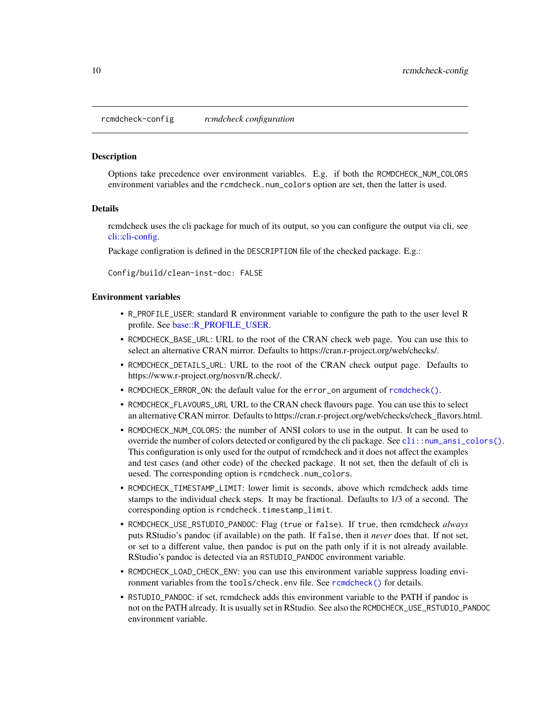<span id="page-9-0"></span>rcmdcheck-config *rcmdcheck configuration*

#### **Description**

Options take precedence over environment variables. E.g. if both the RCMDCHECK\_NUM\_COLORS environment variables and the rcmdcheck.num\_colors option are set, then the latter is used.

#### Details

rcmdcheck uses the cli package for much of its output, so you can configure the output via cli, see [cli::cli-config.](#page-0-0)

Package configration is defined in the DESCRIPTION file of the checked package. E.g.:

Config/build/clean-inst-doc: FALSE

#### Environment variables

- R\_PROFILE\_USER: standard R environment variable to configure the path to the user level R profile. See [base::R\\_PROFILE\\_USER.](#page-0-0)
- RCMDCHECK\_BASE\_URL: URL to the root of the CRAN check web page. You can use this to select an alternative CRAN mirror. Defaults to https://cran.r-project.org/web/checks/.
- RCMDCHECK\_DETAILS\_URL: URL to the root of the CRAN check output page. Defaults to https://www.r-project.org/nosvn/R.check/.
- RCMDCHECK\_ERROR\_ON: the default value for the error\_on argument of [rcmdcheck\(\)](#page-6-1).
- RCMDCHECK\_FLAVOURS\_URL URL to the CRAN check flavours page. You can use this to select an alternative CRAN mirror. Defaults to https://cran.r-project.org/web/checks/check\_flavors.html.
- RCMDCHECK\_NUM\_COLORS: the number of ANSI colors to use in the output. It can be used to override the number of colors detected or configured by the cli package. See  $\text{cli}: \text{num\_ansi\_colors}($ . This configuration is only used for the output of rcmdcheck and it does not affect the examples and test cases (and other code) of the checked package. It not set, then the default of cli is uesed. The corresponding option is rcmdcheck.num\_colors.
- RCMDCHECK\_TIMESTAMP\_LIMIT: lower limit is seconds, above which rcmdcheck adds time stamps to the individual check steps. It may be fractional. Defaults to 1/3 of a second. The corresponding option is rcmdcheck.timestamp\_limit.
- RCMDCHECK\_USE\_RSTUDIO\_PANDOC: Flag (true or false). If true, then rcmdcheck *always* puts RStudio's pandoc (if available) on the path. If false, then it *never* does that. If not set, or set to a different value, then pandoc is put on the path only if it is not already available. RStudio's pandoc is detected via an RSTUDIO\_PANDOC environment variable.
- RCMDCHECK\_LOAD\_CHECK\_ENV: you can use this environment variable suppress loading environment variables from the tools/check.env file. See [rcmdcheck\(\)](#page-6-1) for details.
- RSTUDIO\_PANDOC: if set, rcmdcheck adds this environment variable to the PATH if pandoc is not on the PATH already. It is usually set in RStudio. See also the RCMDCHECK\_USE\_RSTUDIO\_PANDOC environment variable.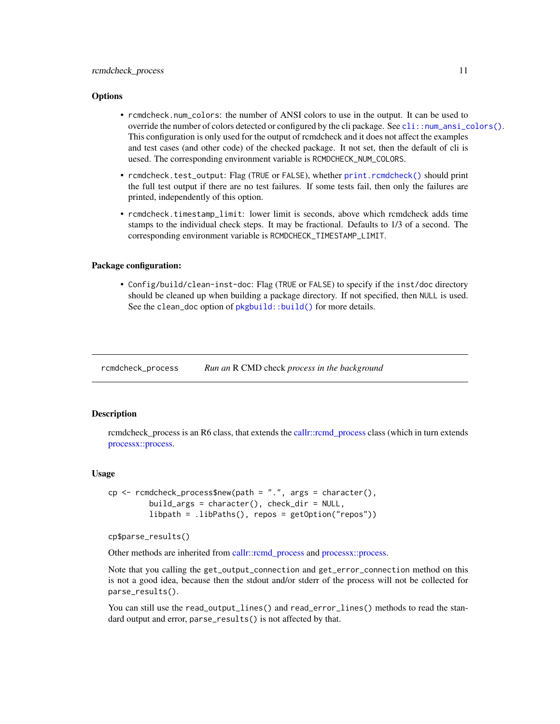#### <span id="page-10-0"></span>**Options**

- rcmdcheck.num\_colors: the number of ANSI colors to use in the output. It can be used to override the number of colors detected or configured by the cli package. See [cli::num\\_ansi\\_colors\(\)](#page-0-0). This configuration is only used for the output of rcmdcheck and it does not affect the examples and test cases (and other code) of the checked package. It not set, then the default of cli is uesed. The corresponding environment variable is RCMDCHECK\_NUM\_COLORS.
- rcmdcheck.test\_output: Flag (TRUE or FALSE), whether [print.rcmdcheck\(\)](#page-5-2) should print the full test output if there are no test failures. If some tests fail, then only the failures are printed, independently of this option.
- rcmdcheck.timestamp\_limit: lower limit is seconds, above which rcmdcheck adds time stamps to the individual check steps. It may be fractional. Defaults to 1/3 of a second. The corresponding environment variable is RCMDCHECK\_TIMESTAMP\_LIMIT.

#### Package configuration:

• Config/build/clean-inst-doc: Flag (TRUE or FALSE) to specify if the inst/doc directory should be cleaned up when building a package directory. If not specified, then NULL is used. See the clean\_doc option of [pkgbuild::build\(\)](#page-0-0) for more details.

<span id="page-10-1"></span>rcmdcheck\_process *Run an* R CMD check *process in the background*

#### **Description**

rcmdcheck\_process is an R6 class, that extends the [callr::rcmd\\_process](#page-0-0) class (which in turn extends [processx::process.](#page-0-0)

#### Usage

```
cp \le - rcmdcheck_process$new(path = ".", args = character(),
         build_args = character(), check_dir = NULL,
         libpath = .libPaths(), repos = getOption("repos"))
```

```
cp$parse_results()
```
Other methods are inherited from [callr::rcmd\\_process](#page-0-0) and [processx::process.](#page-0-0)

Note that you calling the get\_output\_connection and get\_error\_connection method on this is not a good idea, because then the stdout and/or stderr of the process will not be collected for parse\_results().

You can still use the read\_output\_lines() and read\_error\_lines() methods to read the standard output and error, parse\_results() is not affected by that.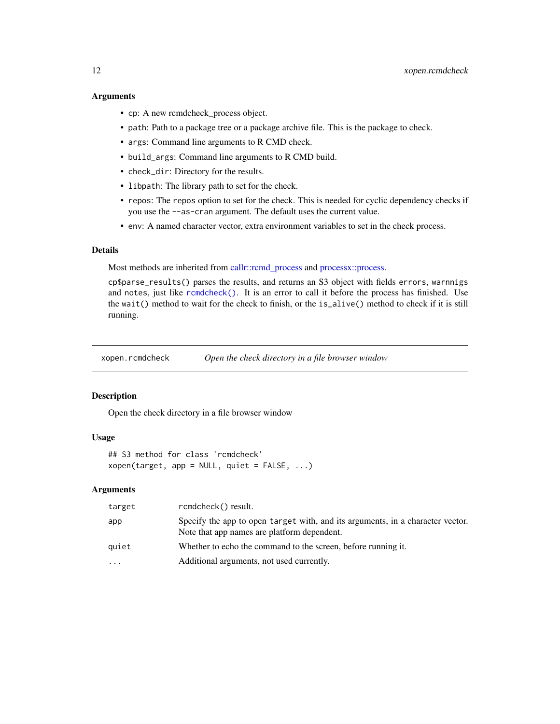#### <span id="page-11-0"></span>Arguments

- cp: A new rcmdcheck\_process object.
- path: Path to a package tree or a package archive file. This is the package to check.
- args: Command line arguments to R CMD check.
- build\_args: Command line arguments to R CMD build.
- check\_dir: Directory for the results.
- libpath: The library path to set for the check.
- repos: The repos option to set for the check. This is needed for cyclic dependency checks if you use the --as-cran argument. The default uses the current value.
- env: A named character vector, extra environment variables to set in the check process.

#### Details

Most methods are inherited from [callr::rcmd\\_process](#page-0-0) and [processx::process.](#page-0-0)

cp\$parse\_results() parses the results, and returns an S3 object with fields errors, warnnigs and notes, just like [rcmdcheck\(\)](#page-6-1). It is an error to call it before the process has finished. Use the wait() method to wait for the check to finish, or the is\_alive() method to check if it is still running.

xopen.rcmdcheck *Open the check directory in a file browser window*

#### Description

Open the check directory in a file browser window

#### Usage

```
## S3 method for class 'rcmdcheck'
xopen(target, app = NULL, quiet = FALSE, ...)
```
#### Arguments

| target    | rcmdcheck() result.                                                                                                           |
|-----------|-------------------------------------------------------------------------------------------------------------------------------|
| app       | Specify the app to open target with, and its arguments, in a character vector.<br>Note that app names are platform dependent. |
| quiet     | Whether to echo the command to the screen, before running it.                                                                 |
| $\ddotsc$ | Additional arguments, not used currently.                                                                                     |